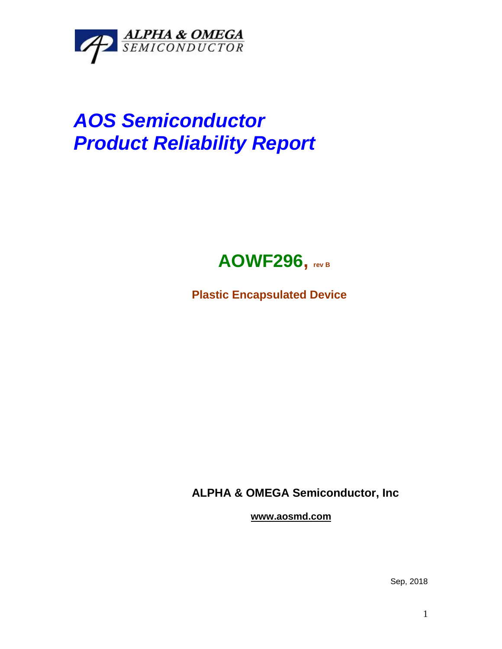

## *AOS Semiconductor Product Reliability Report*



**Plastic Encapsulated Device**

**ALPHA & OMEGA Semiconductor, Inc**

**www.aosmd.com**

Sep, 2018